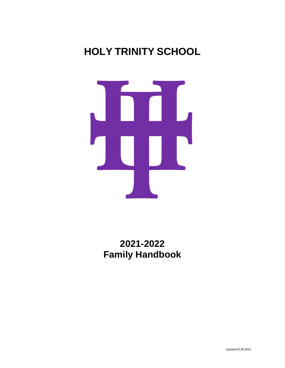# **HOLY TRINITY SCHOOL**



**2021-2022 Family Handbook**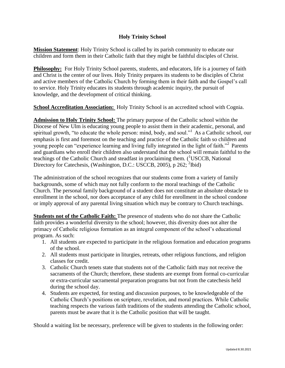# **Holy Trinity School**

**Mission Statement**: Holy Trinity School is called by its parish community to educate our children and form them in their Catholic faith that they might be faithful disciples of Christ.

**Philosophy:** For Holy Trinity School parents, students, and educators, life is a journey of faith and Christ is the center of our lives. Holy Trinity prepares its students to be disciples of Christ and active members of the Catholic Church by forming them in their faith and the Gospel's call to service. Holy Trinity educates its students through academic inquiry, the pursuit of knowledge, and the development of critical thinking.

**School Accreditation Association:** Holy Trinity School is an accredited school with Cognia.

**Admission to Holy Trinity School:** The primary purpose of the Catholic school within the Diocese of New Ulm is educating young people to assist them in their academic, personal, and spiritual growth, "to educate the whole person: mind, body, and soul."<sup>1</sup> As a Catholic school, our emphasis is first and foremost on the teaching and practice of the Catholic faith so children and young people can "experience learning and living fully integrated in the light of faith."<sup>2</sup> Parents and guardians who enroll their children also understand that the school will remain faithful to the teachings of the Catholic Church and steadfast in proclaiming them.  $({}^{1}$ USCCB, National Directory for Catechesis, (Washington, D.C.: USCCB, 2005), p 262; <sup>2</sup>Ibid)

The administration of the school recognizes that our students come from a variety of family backgrounds, some of which may not fully conform to the moral teachings of the Catholic Church. The personal family background of a student does not constitute an absolute obstacle to enrollment in the school, nor does acceptance of any child for enrollment in the school condone or imply approval of any parental living situation which may be contrary to Church teachings.

**Students not of the Catholic Faith:** The presence of students who do not share the Catholic faith provides a wonderful diversity to the school; however, this diversity does not alter the primacy of Catholic religious formation as an integral component of the school's educational program. As such:

- 1. All students are expected to participate in the religious formation and education programs of the school.
- 2. All students must participate in liturgies, retreats, other religious functions, and religion classes for credit.
- 3. Catholic Church tenets state that students not of the Catholic faith may not receive the sacraments of the Church; therefore, these students are exempt from formal co-curricular or extra-curricular sacramental preparation programs but not from the catechesis held during the school day.
- 4. Students are expected, for testing and discussion purposes, to be knowledgeable of the Catholic Church's positions on scripture, revelation, and moral practices. While Catholic teaching respects the various faith traditions of the students attending the Catholic school, parents must be aware that it is the Catholic position that will be taught.

Should a waiting list be necessary, preference will be given to students in the following order: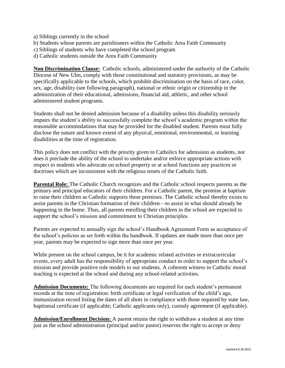- a) Siblings currently in the school
- b) Students whose parents are parishioners within the Catholic Area Faith Community
- c) Siblings of students who have completed the school program
- d) Catholic students outside the Area Faith Community

**Non Discrimination Clause:** Catholic schools, administered under the authority of the Catholic Diocese of New Ulm, comply with those constitutional and statutory provisions, as may be specifically applicable to the schools, which prohibit discrimination on the basis of race, color, sex, age, disability (see following paragraph), national or ethnic origin or citizenship in the administration of their educational, admissions, financial aid, athletic, and other school administered student programs.

Students shall not be denied admission because of a disability unless this disability seriously impairs the student's ability to successfully complete the school's academic program within the reasonable accommodations that may be provided for the disabled student. Parents must fully disclose the nature and known extent of any physical, emotional, environmental, or learning disabilities at the time of registration.

This policy does not conflict with the priority given to Catholics for admission as students, nor does it preclude the ability of the school to undertake and/or enforce appropriate actions with respect to students who advocate on school property or at school functions any practices or doctrines which are inconsistent with the religious tenets of the Catholic faith.

**Parental Role:** The Catholic Church recognizes and the Catholic school respects parents as the primary and principal educators of their children. For a Catholic parent, the promise at baptism to raise their children as Catholic supports these premises. The Catholic school thereby exists to assist parents in the Christian formation of their children—to assist in what should already be happening in the home. Thus, all parents enrolling their children in the school are expected to support the school's mission and commitment to Christian principles.

Parents are expected to annually sign the school's Handbook Agreement Form as acceptance of the school's policies as set forth within the handbook. If updates are made more than once per year, parents may be expected to sign more than once per year.

While present on the school campus, be it for academic related activities or extracurricular events, every adult has the responsibility of appropriate conduct in order to support the school's mission and provide positive role models to our students. A coherent witness to Catholic moral teaching is expected at the school and during any school-related activities.

**Admission Documents:** The following documents are required for each student's permanent records at the time of registration: birth certificate or legal verification of the child's age, immunization record listing the dates of all shots in compliance with those required by state law, baptismal certificate (if applicable; Catholic applicants only), custody agreement (if applicable).

**Admission/Enrollment Decision:** A parent retains the right to withdraw a student at any time just as the school administration (principal and/or pastor) reserves the right to accept or deny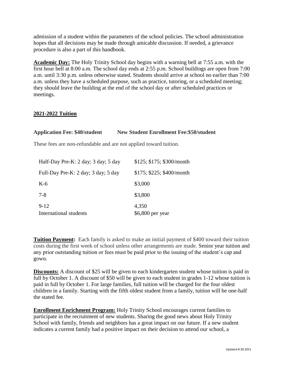admission of a student within the parameters of the school policies. The school administration hopes that all decisions may be made through amicable discussion. If needed, a grievance procedure is also a part of this handbook.

**Academic Day:** The Holy Trinity School day begins with a warning bell at 7:55 a.m. with the first hour bell at 8:00 a.m. The school day ends at 2:55 p.m. School buildings are open from 7:00 a.m. until 3:30 p.m. unless otherwise stated. Students should arrive at school no earlier than 7:00 a.m. unless they have a scheduled purpose, such as practice, tutoring, or a scheduled meeting; they should leave the building at the end of the school day or after scheduled practices or meetings.

#### **2021-2022 Tuition**

| <b>Application Fee: \$40/student</b>                              | <b>New Student Enrollment Fee: \$50/student</b> |
|-------------------------------------------------------------------|-------------------------------------------------|
| These fees are non-refundable and are not applied toward tuition. |                                                 |
| Half-Day Pre-K: 2 day; 3 day; 5 day                               | \$125; \$175; \$300/month                       |
| Full-Day Pre-K: 2 day; 3 day; 5 day                               | \$175; \$225; \$400/month                       |
| $K-6$                                                             | \$3,000                                         |
| $7-8$                                                             | \$3,800                                         |
| $9 - 12$<br>International students                                | 4,350<br>\$6,800 per year                       |

**Tuition Payment:** Each family is asked to make an initial payment of \$400 toward their tuition costs during the first week of school unless other arrangements are made. Senior year tuition and any prior outstanding tuition or fees must be paid prior to the issuing of the student's cap and gown.

**Discounts:** A discount of \$25 will be given to each kindergarten student whose tuition is paid in full by October 1. A discount of \$50 will be given to each student in grades 1-12 whose tuition is paid in full by October 1. For large families, full tuition will be charged for the four oldest children in a family. Starting with the fifth oldest student from a family, tuition will be one-half the stated fee.

**Enrollment Enrichment Program:** Holy Trinity School encourages current families to participate in the recruitment of new students. Sharing the good news about Holy Trinity School with family, friends and neighbors has a great impact on our future. If a new student indicates a current family had a positive impact on their decision to attend our school, a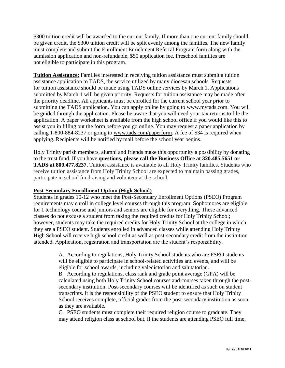\$300 tuition credit will be awarded to the current family. If more than one current family should be given credit, the \$300 tuition credit will be split evenly among the families. The new family must complete and submit the Enrollment Enrichment Referral Program form along with the admission application and non-refundable, \$50 application fee. Preschool families are not eligible to participate in this program.

**Tuition Assistance:** Families interested in receiving tuition assistance must submit a tuition assistance application to TADS, the service utilized by many diocesan schools. Requests for tuition assistance should be made using TADS online services by March 1. Applications submitted by March 1 will be given priority. Requests for tuition assistance may be made after the priority deadline. All applicants must be enrolled for the current school year prior to submitting the TADS application. You can apply online by going to [www.mytads.com.](http://www.mytads.com/) You will be guided through the application. Please be aware that you will need your tax returns to file the application. A paper worksheet is available from the high school office if you would like this to assist you in filling out the form before you go online. You may request a paper application by calling 1-800-884-8237 or going to [www.tads.com/paperform.](http://www.tads.com/paperform) A fee of \$34 is required when applying. Recipients will be notified by mail before the school year begins.

Holy Trinity parish members, alumni and friends make this opportunity a possibility by donating to the trust fund. If you have **questions, please call the Business Office at 320.485.5651 or TADS at 800.477.8237.** Tuition assistance is available to all Holy Trinity families. Students who receive tuition assistance from Holy Trinity School are expected to maintain passing grades, participate in school fundraising and volunteer at the school.

#### **Post-Secondary Enrollment Option (High School)**

Students in grades 10-12 who meet the Post-Secondary Enrollment Options (PSEO) Program requirements may enroll in college level courses through this program. Sophomores are eligible for 1 technology course and juniors and seniors are eligible for everything. These advanced classes do not excuse a student from taking the required credits for Holy Trinity School; however, students may take the required credits for Holy Trinity School at the college in which they are a PSEO student. Students enrolled in advanced classes while attending Holy Trinity High School will receive high school credit as well as post-secondary credit from the institution attended. Application, registration and transportation are the student's responsibility.

> A. According to regulations, Holy Trinity School students who are PSEO students will be eligible to participate in school-related activities and events, and will be eligible for school awards, including valedictorian and salutatorian.

B. According to regulations, class rank and grade point average (GPA) will be calculated using both Holy Trinity School courses and courses taken through the postsecondary institution. Post-secondary courses will be identified as such on student transcripts. It is the responsibility of the PSEO student to ensure that Holy Trinity School receives complete, official grades from the post-secondary institution as soon as they are available.

C. PSEO students must complete their required religion course to graduate. They may attend religion class at school but, if the students are attending PSEO full time,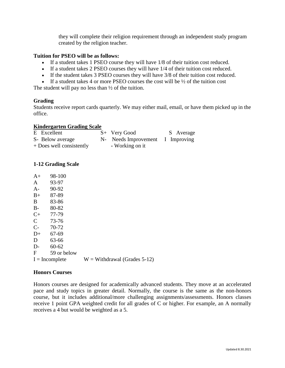they will complete their religion requirement through an independent study program created by the religion teacher.

#### **Tuition for PSEO will be as follows:**

- If a student takes 1 PSEO course they will have 1/8 of their tuition cost reduced.
- If a student takes 2 PSEO courses they will have 1/4 of their tuition cost reduced.
- If the student takes 3 PSEO courses they will have 3/8 of their tuition cost reduced.
- If a student takes 4 or more PSEO courses the cost will be  $\frac{1}{2}$  of the tuition cost

The student will pay no less than  $\frac{1}{2}$  of the tuition.

#### **Grading**

Students receive report cards quarterly. We may either mail, email, or have them picked up in the office.

#### **Kindergarten Grading Scale**

| E Excellent              | $S+$ Very Good                   | S Average |
|--------------------------|----------------------------------|-----------|
| S- Below average         | N- Needs Improvement I Improving |           |
| + Does well consistently | - Working on it                  |           |

# **1-12 Grading Scale**

| $A+$          | 98-100           |                                |
|---------------|------------------|--------------------------------|
| $\mathbf{A}$  | 93-97            |                                |
| $A-$          | 90-92            |                                |
| $B+$          | 87-89            |                                |
| B             | 83-86            |                                |
| $B-$          | 80-82            |                                |
| $C+$          | 77-79            |                                |
| $\mathcal{C}$ | 73-76            |                                |
| $C-$          | 70-72            |                                |
| $D+$          | 67-69            |                                |
| D             | 63-66            |                                |
| $D-$          | $60 - 62$        |                                |
| $\mathbf{F}$  | 59 or below      |                                |
|               | $I = Incomplete$ | $W = Withdrawal$ (Grades 5-12) |
|               |                  |                                |

#### **Honors Courses**

Honors courses are designed for academically advanced students. They move at an accelerated pace and study topics in greater detail. Normally, the course is the same as the non-honors course, but it includes additional/more challenging assignments/assessments. Honors classes receive 1 point GPA weighted credit for all grades of C or higher. For example, an A normally receives a 4 but would be weighted as a 5.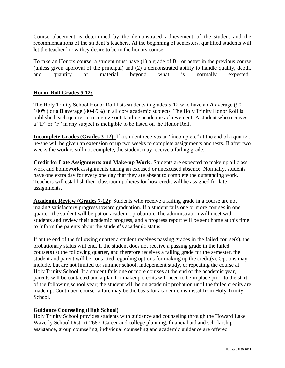Course placement is determined by the demonstrated achievement of the student and the recommendations of the student's teachers. At the beginning of semesters, qualified students will let the teacher know they desire to be in the honors course.

To take an Honors course, a student must have  $(1)$  a grade of  $B+$  or better in the previous course (unless given approval of the principal) and (2) a demonstrated ability to handle quality, depth, and quantity of material beyond what is normally expected.

# **Honor Roll Grades 5-12:**

The Holy Trinity School Honor Roll lists students in grades 5-12 who have an **A** average (90- 100%) or a **B** average (80-89%) in all core academic subjects. The Holy Trinity Honor Roll is published each quarter to recognize outstanding academic achievement. A student who receives a "D" or "F" in any subject is ineligible to be listed on the Honor Roll.

**Incomplete Grades (Grades 3-12):** If a student receives an "incomplete" at the end of a quarter, he/she will be given an extension of up two weeks to complete assignments and tests. If after two weeks the work is still not complete, the student may receive a failing grade.

**Credit for Late Assignments and Make-up Work:** Students are expected to make up all class work and homework assignments during an excused or unexcused absence. Normally, students have one extra day for every one day that they are absent to complete the outstanding work. Teachers will establish their classroom policies for how credit will be assigned for late assignments.

**Academic Review (Grades 7-12):** Students who receive a failing grade in a course are not making satisfactory progress toward graduation. If a student fails one or more courses in one quarter, the student will be put on academic probation. The administration will meet with students and review their academic progress, and a progress report will be sent home at this time to inform the parents about the student's academic status.

If at the end of the following quarter a student receives passing grades in the failed course(s), the probationary status will end. If the student does not receive a passing grade in the failed course(s) at the following quarter, and therefore receives a failing grade for the semester, the student and parent will be contacted regarding options for making up the credit(s). Options may include, but are not limited to: summer school, independent study, or repeating the course at Holy Trinity School. If a student fails one or more courses at the end of the academic year, parents will be contacted and a plan for makeup credits will need to be in place prior to the start of the following school year; the student will be on academic probation until the failed credits are made up. Continued course failure may be the basis for academic dismissal from Holy Trinity School.

#### **Guidance Counseling (High School)**

Holy Trinity School provides students with guidance and counseling through the Howard Lake Waverly School District 2687. Career and college planning, financial aid and scholarship assistance, group counseling, individual counseling and academic guidance are offered.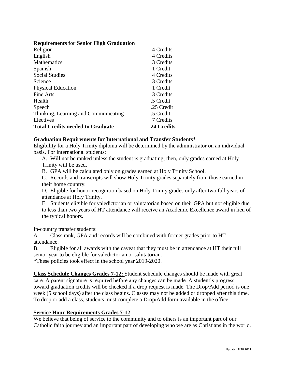#### **Requirements for Senior High Graduation**

| Religion                                | 4 Credits  |
|-----------------------------------------|------------|
| English                                 | 4 Credits  |
| <b>Mathematics</b>                      | 3 Credits  |
| Spanish                                 | 1 Credit   |
| <b>Social Studies</b>                   | 4 Credits  |
| Science                                 | 3 Credits  |
| <b>Physical Education</b>               | 1 Credit   |
| Fine Arts                               | 3 Credits  |
| Health                                  | .5 Credit  |
| Speech                                  | .25 Credit |
| Thinking, Learning and Communicating    | .5 Credit  |
| Electives                               | 7 Credits  |
| <b>Total Credits needed to Graduate</b> | 24 Credits |

#### **Graduation Requirements for International and Transfer Students\***

Eligibility for a Holy Trinity diploma will be determined by the administrator on an individual basis. For international students:

A. Will not be ranked unless the student is graduating; then, only grades earned at Holy Trinity will be used.

B. GPA will be calculated only on grades earned at Holy Trinity School.

C. Records and transcripts will show Holy Trinity grades separately from those earned in their home country.

D. Eligible for honor recognition based on Holy Trinity grades only after two full years of attendance at Holy Trinity.

E. Students eligible for valedictorian or salutatorian based on their GPA but not eligible due to less than two years of HT attendance will receive an Academic Excellence award in lieu of the typical honors.

In-country transfer students:

A. Class rank, GPA and records will be combined with former grades prior to HT attendance.

B. Eligible for all awards with the caveat that they must be in attendance at HT their full senior year to be eligible for valedictorian or salutatorian.

\*These policies took effect in the school year 2019-2020.

**Class Schedule Changes Grades 7-12:** Student schedule changes should be made with great care. A parent signature is required before any changes can be made. A student's progress toward graduation credits will be checked if a drop request is made. The Drop/Add period is one week (5 school days) after the class begins. Classes may not be added or dropped after this time. To drop or add a class, students must complete a Drop/Add form available in the office.

#### **Service Hour Requirements Grades 7-12**

We believe that being of service to the community and to others is an important part of our Catholic faith journey and an important part of developing who we are as Christians in the world.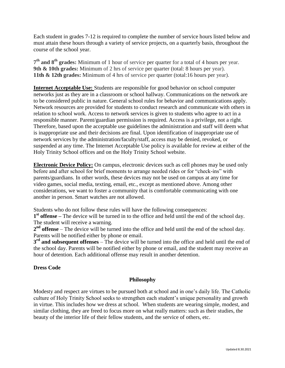Each student in grades 7-12 is required to complete the number of service hours listed below and must attain these hours through a variety of service projects, on a quarterly basis, throughout the course of the school year.

**7 th and 8th grades:** Minimum of 1 hour of service per quarter for a total of 4 hours per year. **9th & 10th grades:** Minimum of 2 hrs of service per quarter (total: 8 hours per year). **11th & 12th grades:** Minimum of 4 hrs of service per quarter (total:16 hours per year).

**Internet Acceptable Use:** Students are responsible for good behavior on school computer networks just as they are in a classroom or school hallway. Communications on the network are to be considered public in nature. General school rules for behavior and communications apply. Network resources are provided for students to conduct research and communicate with others in relation to school work. Access to network services is given to students who agree to act in a responsible manner. Parent/guardian permission is required. Access is a privilege, not a right. Therefore, based upon the acceptable use guidelines the administration and staff will deem what is inappropriate use and their decisions are final. Upon identification of inappropriate use of network services by the administration/faculty/staff, access may be denied, revoked, or suspended at any time. The Internet Acceptable Use policy is available for review at either of the Holy Trinity School offices and on the Holy Trinity School website.

**Electronic Device Policy:** On campus, electronic devices such as cell phones may be used only before and after school for brief moments to arrange needed rides or for "check-ins" with parents/guardians. In other words, these devices may not be used on campus at any time for video games, social media, texting, email, etc., except as mentioned above. Among other considerations, we want to foster a community that is comfortable communicating with one another in person. Smart watches are not allowed.

Students who do not follow these rules will have the following consequences:

**1 st offense –** The device will be turned in to the office and held until the end of the school day. The student will receive a warning.

**2 nd offense** – The device will be turned into the office and held until the end of the school day. Parents will be notified either by phone or email.

**3 rd and subsequent offenses** – The device will be turned into the office and held until the end of the school day. Parents will be notified either by phone or email, and the student may receive an hour of detention. Each additional offense may result in another detention.

#### **Dress Code**

#### **Philosophy**

Modesty and respect are virtues to be pursued both at school and in one's daily life. The Catholic culture of Holy Trinity School seeks to strengthen each student's unique personality and growth in virtue. This includes how we dress at school. When students are wearing simple, modest, and similar clothing, they are freed to focus more on what really matters: such as their studies, the beauty of the interior life of their fellow students, and the service of others, etc.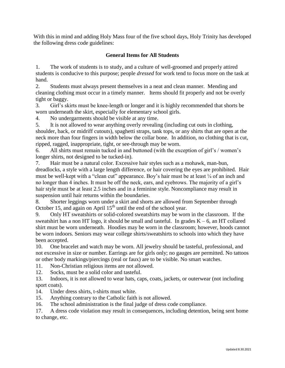With this in mind and adding Holy Mass four of the five school days, Holy Trinity has developed the following dress code guidelines:

# **General Items for All Students**

1. The work of students is to study, and a culture of well-groomed and properly attired students is conducive to this purpose; people *dressed* for work tend to focus more on the task at hand.

2. Students must always present themselves in a neat and clean manner. Mending and cleaning clothing must occur in a timely manner. Items should fit properly and not be overly tight or baggy.

3. Girl's skirts must be knee-length or longer and it is highly recommended that shorts be worn underneath the skirt, especially for elementary school girls.

4. No undergarments should be visible at any time.

5. It is not allowed to wear anything overly revealing (including cut outs in clothing, shoulder, back, or midriff cutouts), spaghetti straps, tank tops, or any shirts that are open at the neck more than four fingers in width below the collar bone. In addition, no clothing that is cut, ripped, ragged, inappropriate, tight, or see-through may be worn.

6. All shirts must remain tucked in and buttoned (with the exception of girl's / women's longer shirts, not designed to be tucked-in).

7. Hair must be a natural color. Excessive hair styles such as a mohawk, man-bun, dreadlocks, a style with a large length difference, or hair covering the eyes are prohibited. Hair must be well-kept with a "clean cut" appearance. Boy's hair must be at least  $\frac{1}{4}$  of an inch and no longer than 4 inches. It must be off the neck, ears, and eyebrows. The majority of a girl's hair style must be at least 2.5 inches and in a feminine style. Noncompliance may result in suspension until hair returns within the boundaries.

8. Shorter leggings worn under a skirt and shorts are allowed from September through October 15, and again on April  $15<sup>th</sup>$  until the end of the school year.

9. Only HT sweatshirts or solid-colored sweatshirts may be worn in the classroom. If the sweatshirt has a non HT logo, it should be small and tasteful. In grades  $K - 6$ , an HT collared shirt must be worn underneath. Hoodies may be worn in the classroom; however, hoods cannot be worn indoors. Seniors may wear college shirts/sweatshirts to schools into which they have been accepted.

10. One bracelet and watch may be worn. All jewelry should be tasteful, professional, and not excessive in size or number. Earrings are for girls only; no gauges are permitted. No tattoos or other body markings/piercings (real or faux) are to be visible. No smart watches.

11. Non-Christian religious items are not allowed.

12. Socks, must be a solid color and tasteful.

13. Indoors, it is not allowed to wear hats, caps, coats, jackets, or outerwear (not including sport coats).

14. Under dress shirts, t-shirts must white.

- 15. Anything contrary to the Catholic faith is not allowed.
- 16. The school administration is the final judge of dress code compliance.

17. A dress code violation may result in consequences, including detention, being sent home to change, etc.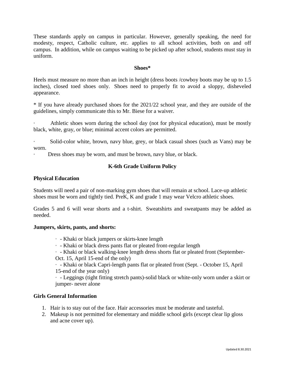These standards apply on campus in particular. However, generally speaking, the need for modesty, respect, Catholic culture, etc. applies to all school activities, both on and off campus. In addition, while on campus waiting to be picked up after school, students must stay in uniform.

#### **Shoes\***

Heels must measure no more than an inch in height (dress boots /cowboy boots may be up to 1.5 inches), closed toed shoes only. Shoes need to properly fit to avoid a sloppy, disheveled appearance.

\* If you have already purchased shoes for the 2021/22 school year, and they are outside of the guidelines, simply communicate this to Mr. Biese for a waiver.

Athletic shoes worn during the school day (not for physical education), must be mostly black, white, gray, or blue; minimal accent colors are permitted.

Solid-color white, brown, navy blue, grey, or black casual shoes (such as Vans) may be worn.

Dress shoes may be worn, and must be brown, navy blue, or black.

# **K-6th Grade Uniform Policy**

#### **Physical Education**

Students will need a pair of non-marking gym shoes that will remain at school. Lace-up athletic shoes must be worn and tightly tied. PreK, K and grade 1 may wear Velcro athletic shoes.

Grades 5 and 6 will wear shorts and a t-shirt. Sweatshirts and sweatpants may be added as needed.

#### **Jumpers, skirts, pants, and shorts:**

- · Khaki or black jumpers or skirts-knee length
- · Khaki or black dress pants flat or pleated front-regular length

· - Khaki or black walking-knee length dress shorts flat or pleated front (September-Oct. 15, April 15-end of the only)

· - Khaki or black Capri-length pants flat or pleated front (Sept. - October 15, April 15-end of the year only)

· - Leggings (tight fitting stretch pants)-solid black or white-only worn under a skirt or jumper- never alone

#### **Girls General Information**

- 1. Hair is to stay out of the face. Hair accessories must be moderate and tasteful.
- 2. Makeup is not permitted for elementary and middle school girls (except clear lip gloss and acne cover up).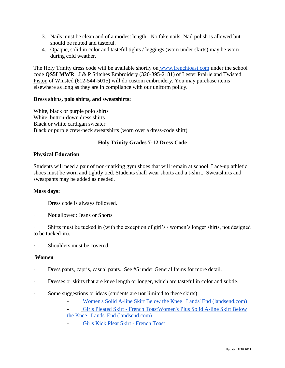- 3. Nails must be clean and of a modest length. No fake nails. Nail polish is allowed but should be muted and tasteful.
- 4. Opaque, solid in color and tasteful tights / leggings (worn under skirts) may be worn during cold weather.

The Holy Trinity dress code will be available shortly on [www.frenchtoast.com](http://www.frenchtoast.com/) under the school code **QS5LMWR**. J & P Stitches Embroidery (320-395-2181) of Lester Prairie and Twisted Piston of Winsted (612-544-5015) will do custom embroidery. You may purchase items elsewhere as long as they are in compliance with our uniform policy.

#### **Dress shirts, polo shirts, and sweatshirts:**

White, black or purple polo shirts White, button-down dress shirts Black or white cardigan sweater Black or purple crew-neck sweatshirts (worn over a dress-code shirt)

# **Holy Trinity Grades 7-12 Dress Code**

#### **Physical Education**

Students will need a pair of non-marking gym shoes that will remain at school. Lace-up athletic shoes must be worn and tightly tied. Students shall wear shorts and a t-shirt. Sweatshirts and sweatpants may be added as needed.

#### **Mass days:**

- Dress code is always followed.
- **Not** allowed: Jeans or Shorts

Shirts must be tucked in (with the exception of girl's / women's longer shirts, not designed to be tucked-in).

· Shoulders must be covered.

#### **Women**

- · Dress pants, capris, casual pants. See #5 under General Items for more detail.
- · Dresses or skirts that are knee length or longer, which are tasteful in color and subtle.
- · Some suggestions or ideas (students are **not** limited to these skirts):
	- [Women's Solid A-line Skirt Below the Knee | Lands' End \(landsend.com\)](https://www.landsend.com/products/womens-solid-a-line-skirt-below-the-knee/id_355200?attributes=2684,43307,43323,43388,44256)
	- [Girls Pleated Skirt -](https://www.frenchtoast.com/pleated-skirt-girls-4-6x-7/p/1066?) French Toas[tWomen's Plus Solid A-line Skirt Below](https://www.frenchtoast.com/pleated-skirt-girls-4-6x-7/p/1066?)  [the Knee | Lands' End \(landsend.com\)](https://www.landsend.com/products/womens-plus-solid-a-line-skirt-below-the-knee/id_355201?attributes=2684,43307,43323,43388,44256)
	- [Girls Kick Pleat Skirt -](https://www.frenchtoast.com/kick-pleat-skirt-girls-4-6x-7/p/1268?) French Toast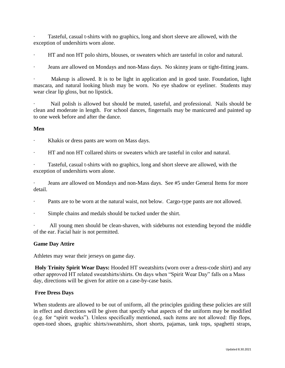Tasteful, casual t-shirts with no graphics, long and short sleeve are allowed, with the exception of undershirts worn alone.

- · HT and non HT polo shirts, blouses, or sweaters which are tasteful in color and natural.
- Jeans are allowed on Mondays and non-Mass days. No skinny jeans or tight-fitting jeans.

Makeup is allowed. It is to be light in application and in good taste. Foundation, light mascara, and natural looking blush may be worn. No eye shadow or eyeliner. Students may wear clear lip gloss, but no lipstick.

Nail polish is allowed but should be muted, tasteful, and professional. Nails should be clean and moderate in length. For school dances, fingernails may be manicured and painted up to one week before and after the dance.

#### **Men**

- Khakis or dress pants are worn on Mass days.
- · HT and non HT collared shirts or sweaters which are tasteful in color and natural.

Tasteful, casual t-shirts with no graphics, long and short sleeve are allowed, with the exception of undershirts worn alone.

Jeans are allowed on Mondays and non-Mass days. See #5 under General Items for more detail.

- Pants are to be worn at the natural waist, not below. Cargo-type pants are not allowed.
- Simple chains and medals should be tucked under the shirt.

All young men should be clean-shaven, with sideburns not extending beyond the middle of the ear. Facial hair is not permitted.

#### **Game Day Attire**

Athletes may wear their jerseys on game day.

**Holy Trinity Spirit Wear Days:** Hooded HT sweatshirts (worn over a dress-code shirt) and any other approved HT related sweatshirts/shirts. On days when "Spirit Wear Day" falls on a Mass day, directions will be given for attire on a case-by-case basis.

#### **Free Dress Days**

When students are allowed to be out of uniform, all the principles guiding these policies are still in effect and directions will be given that specify what aspects of the uniform may be modified (e.g. for "spirit weeks"). Unless specifically mentioned, such items are not allowed: flip flops, open-toed shoes, graphic shirts/sweatshirts, short shorts, pajamas, tank tops, spaghetti straps,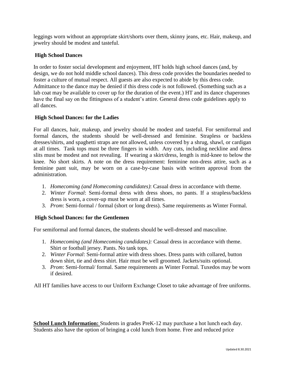leggings worn without an appropriate skirt/shorts over them, skinny jeans, etc. Hair, makeup, and jewelry should be modest and tasteful.

# **High School Dances**

In order to foster social development and enjoyment, HT holds high school dances (and, by design, we do not hold middle school dances). This dress code provides the boundaries needed to foster a culture of mutual respect. All guests are also expected to abide by this dress code. Admittance to the dance may be denied if this dress code is not followed. (Something such as a lab coat may be available to cover up for the duration of the event.) HT and its dance chaperones have the final say on the fittingness of a student's attire. General dress code guidelines apply to all dances.

#### **High School Dances: for the Ladies**

For all dances, hair, makeup, and jewelry should be modest and tasteful. For semiformal and formal dances, the students should be well-dressed and feminine. Strapless or backless dresses/shirts, and spaghetti straps are not allowed, unless covered by a shrug, shawl, or cardigan at all times. Tank tops must be three fingers in width. Any cuts, including neckline and dress slits must be modest and not revealing. If wearing a skirt/dress, length is mid-knee to below the knee. No short skirts. A note on the dress requirement: feminine non-dress attire, such as a feminine pant suit, may be worn on a case-by-case basis with written approval from the administration.

- 1. *Homecoming (and Homecoming candidates)*: Casual dress in accordance with theme.
- 2. *Winter Formal*: Semi-formal dress with dress shoes, no pants. If a strapless/backless dress is worn, a cover-up must be worn at all times.
- 3. *Prom*: Semi-formal / formal (short or long dress). Same requirements as Winter Formal.

#### **High School Dances: for the Gentlemen**

For semiformal and formal dances, the students should be well-dressed and masculine.

- 1. *Homecoming (and Homecoming candidates):* Casual dress in accordance with theme. Shirt or football jersey. Pants. No tank tops.
- 2. *Winter Formal*: Semi-formal attire with dress shoes. Dress pants with collared, button down shirt, tie and dress shirt. Hair must be well groomed. Jackets/suits optional.
- 3. *Prom*: Semi-formal/ formal. Same requirements as Winter Formal. Tuxedos may be worn if desired.

All HT families have access to our Uniform Exchange Closet to take advantage of free uniforms.

**School Lunch Information:** Students in grades PreK-12 may purchase a hot lunch each day. Students also have the option of bringing a cold lunch from home. Free and reduced price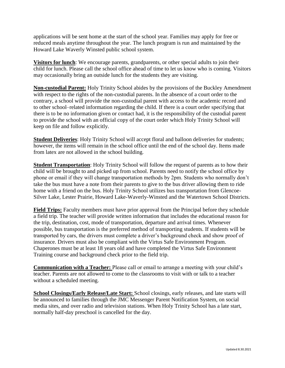applications will be sent home at the start of the school year. Families may apply for free or reduced meals anytime throughout the year. The lunch program is run and maintained by the Howard Lake Waverly Winsted public school system.

**Visitors for lunch**: We encourage parents, grandparents, or other special adults to join their child for lunch. Please call the school office ahead of time to let us know who is coming. Visitors may occasionally bring an outside lunch for the students they are visiting.

**Non-custodial Parent:** Holy Trinity School abides by the provisions of the Buckley Amendment with respect to the rights of the non-custodial parents. In the absence of a court order to the contrary, a school will provide the non-custodial parent with access to the academic record and to other school–related information regarding the child. If there is a court order specifying that there is to be no information given or contact had, it is the responsibility of the custodial parent to provide the school with an official copy of the court order which Holy Trinity School will keep on file and follow explicitly.

**Student Deliveries**: Holy Trinity School will accept floral and balloon deliveries for students; however, the items will remain in the school office until the end of the school day. Items made from latex are not allowed in the school building.

**Student Transportation**: Holy Trinity School will follow the request of parents as to how their child will be brought to and picked up from school. Parents need to notify the school office by phone or email if they will change transportation methods by 2pm. Students who normally don't take the bus must have a note from their parents to give to the bus driver allowing them to ride home with a friend on the bus. Holy Trinity School utilizes bus transportation from Glencoe-Silver Lake, Lester Prairie, Howard Lake-Waverly-Winsted and the Watertown School Districts.

**Field Trips:** Faculty members must have prior approval from the Principal before they schedule a field trip. The teacher will provide written information that includes the educational reason for the trip, destination, cost, mode of transportation, departure and arrival times. Whenever possible, bus transportation is the preferred method of transporting students. If students will be transported by cars, the drivers must complete a driver's background check and show proof of insurance. Drivers must also be compliant with the Virtus Safe Environment Program. Chaperones must be at least 18 years old and have completed the Virtus Safe Environment Training course and background check prior to the field trip.

**Communication with a Teacher:** Please call or email to arrange a meeting with your child's teacher. Parents are not allowed to come to the classrooms to visit with or talk to a teacher without a scheduled meeting.

**School Closings/Early Release/Late Start:** School closings, early releases, and late starts will be announced to families through the JMC Messenger Parent Notification System, on social media sites, and over radio and television stations. When Holy Trinity School has a late start, normally half-day preschool is cancelled for the day.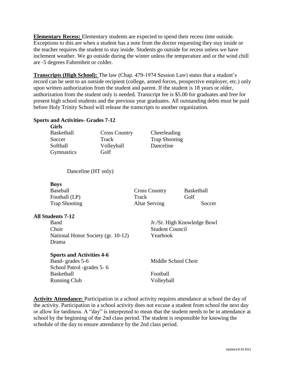**Elementary Recess:** Elementary students are expected to spend their recess time outside. Exceptions to this are when a student has a note from the doctor requesting they stay inside or the teacher requires the student to stay inside. Students go outside for recess unless we have inclement weather. We go outside during the winter unless the temperature and or the wind chill are -5 degrees Fahrenheit or colder.

**Transcripts (High School):** The law (Chap. 479-1974 Session Law) states that a student's record can be sent to an outside recipient (college, armed forces, prospective employer, etc.) only upon written authorization from the student and parent. If the student is 18 years or older, authorization from the student only is needed. Transcript fee is \$5.00 for graduates and free for present high school students and the previous year graduates. All outstanding debts must be paid before Holy Trinity School will release the transcripts to another organization.

#### **Sports and Activities- Grades 7-12**

#### **Girls**

| Basketball | <b>Cross Country</b> | Cheerleading         |
|------------|----------------------|----------------------|
| Soccer     | Track                | <b>Trap Shooting</b> |
| Softball   | Volleyball           | Danceline            |
| Gymnastics | Golf                 |                      |
|            |                      |                      |

# Danceline (HT only)

#### **Boys**

| <b>Cross Country</b> | <b>Basketball</b> |
|----------------------|-------------------|
| Track                | Golf              |
| <b>Altar Serving</b> | Soccer            |
|                      |                   |

#### **All Students 7-12**

Choir Student Council National Honor Society (gr. 10-12) Yearbook Drama

#### **Sports and Activities 4-6**

Band- grades 5-6 Middle School Choir School Patrol -grades 5- 6 Basketball Football Running Club Volleyball

Band Jr./Sr. High Knowledge Bowl

Activity Attendance: Participation in a school activity requires attendance at school the day of the activity. Participation in a school activity does not excuse a student from school the next day or allow for tardiness. A "day" is interpreted to mean that the student needs to be in attendance at school by the beginning of the 2nd class period. The student is responsible for knowing the schedule of the day to ensure attendance by the 2nd class period.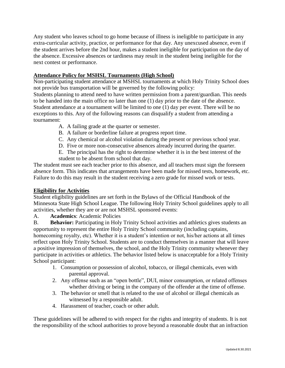Any student who leaves school to go home because of illness is ineligible to participate in any extra-curricular activity, practice, or performance for that day. Any unexcused absence, even if the student arrives before the 2nd hour, makes a student ineligible for participation on the day of the absence. Excessive absences or tardiness may result in the student being ineligible for the next contest or performance.

# **Attendance Policy for MSHSL Tournaments (High School)**

Non-participating student attendance at MSHSL tournaments at which Holy Trinity School does not provide bus transportation will be governed by the following policy:

Students planning to attend need to have written permission from a parent/guardian. This needs to be handed into the main office no later than one (1) day prior to the date of the absence. Student attendance at a tournament will be limited to one (1) day per event. There will be no exceptions to this. Any of the following reasons can disqualify a student from attending a tournament:

- A. A failing grade at the quarter or semester.
- B. A failure or borderline failure at progress report time.
- C. Any chemical or alcohol violation during the present or previous school year.
- D. Five or more non-consecutive absences already incurred during the quarter.
- E. The principal has the right to determine whether it is in the best interest of the student to be absent from school that day.

The student must see each teacher prior to this absence, and all teachers must sign the foreseen absence form. This indicates that arrangements have been made for missed tests, homework, etc. Failure to do this may result in the student receiving a zero grade for missed work or tests.

# **Eligibility for Activities**

Student eligibility guidelines are set forth in the Bylaws of the Official Handbook of the Minnesota State High School League. The following Holy Trinity School guidelines apply to all activities, whether they are or are not MSHSL sponsored events:

A. **Academics**: Academic Policies

B. **Behavior:** Participating in Holy Trinity School activities and athletics gives students an opportunity to represent the entire Holy Trinity School community (including captains, homecoming royalty, etc). Whether it is a student's intention or not, his/her actions at all times reflect upon Holy Trinity School. Students are to conduct themselves in a manner that will leave a positive impression of themselves, the school, and the Holy Trinity community whenever they participate in activities or athletics. The behavior listed below is unacceptable for a Holy Trinity School participant:

- 1. Consumption or possession of alcohol, tobacco, or illegal chemicals, even with parental approval.
- 2. Any offense such as an "open bottle", DUI, minor consumption, or related offenses whether driving or being in the company of the offender at the time of offense.
- 3. The behavior or smell that is related to the use of alcohol or illegal chemicals as witnessed by a responsible adult.
- 4. Harassment of teacher, coach or other adult.

These guidelines will be adhered to with respect for the rights and integrity of students. It is not the responsibility of the school authorities to prove beyond a reasonable doubt that an infraction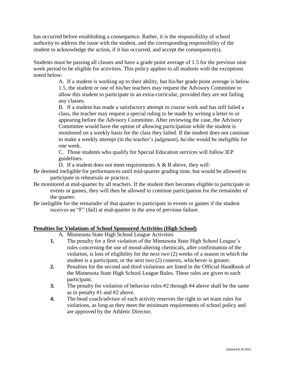has occurred before establishing a consequence. Rather, it is the responsibility of school authority to address the issue with the student, and the corresponding responsibility of the student to acknowledge the action, if it has occurred, and accept the consequence(s).

Students must be passing all classes and have a grade point average of 1.5 for the previous nine week period to be eligible for activities. This policy applies to all students with the exceptions noted below:

> A. If a student is working up to their ability, but his/her grade point average is below 1.5, the student or one of his/her teachers may request the Advisory Committee to allow this student to participate in an extra-curricular, provided they are not failing any classes.

> B. If a student has made a satisfactory attempt in course work and has still failed a class, the teacher may request a special ruling to be made by writing a letter to or appearing before the Advisory Committee. After reviewing the case, the Advisory Committee would have the option of allowing participation while the student is monitored on a weekly basis for the class they failed. If the student does not continue to make a weekly attempt (in the teacher's judgment), he/she would be ineligible for one week.

C. Those students who qualify for Special Education services will follow IEP guidelines.

D. If a student does not meet requirements A & B above, they will:

- Be deemed ineligible for performances until mid-quarter grading time, but would be allowed to participate in rehearsals or practice.
- Be monitored at mid-quarter by all teachers. If the student then becomes eligible to participate in events or games, they will then be allowed to continue participation for the remainder of the quarter.
- Be ineligible for the remainder of that quarter to participate in events or games if the student receives an "F" (fail) at mid-quarter in the area of previous failure.

# **Penalties for Violations of School Sponsored Activities (High School)**

- A. Minnesota State High School League Activities
- **1.** The penalty for a first violation of the Minnesota State High School League's rules concerning the use of mood-altering chemicals, after confirmation of the violation, is loss of eligibility for the next two (2) weeks of a season in which the student is a participant, or the next two (2) contests, whichever is greater.
- **2.** Penalties for the second and third violations are listed in the Official Handbook of the Minnesota State High School League Rules. These rules are given to each participant.
- **3.** The penalty for violation of behavior rules #2 through #4 above shall be the same as in penalty #1 and #2 above.
- **4.** The head coach/advisor of each activity reserves the right to set team rules for violations, as long as they meet the minimum requirements of school policy and are approved by the Athletic Director.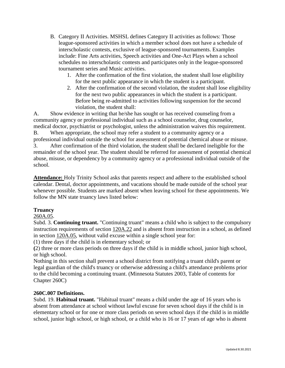- B. Category II Activities. MSHSL defines Category II activities as follows: Those league-sponsored activities in which a member school does not have a schedule of interscholastic contests, exclusive of league-sponsored tournaments. Examples include: Fine Arts activities, Speech activities and One-Act Plays when a school schedules no interscholastic contests and participates only in the league-sponsored tournament series and Music activities.
	- 1. After the confirmation of the first violation, the student shall lose eligibility for the next public appearance in which the student is a participant.
	- 2. After the confirmation of the second violation, the student shall lose eligibility for the next two public appearances in which the student is a participant. Before being re-admitted to activities following suspension for the second violation, the student shall:

A. Show evidence in writing that he/she has sought or has received counseling from a community agency or professional individual such as a school counselor, drug counselor, medical doctor, psychiatrist or psychologist, unless the administration waives this requirement.

B. When appropriate, the school may refer a student to a community agency or a professional individual outside the school for assessment of potential chemical abuse or misuse. 3. After confirmation of the third violation, the student shall be declared ineligible for the remainder of the school year. The student should be referred for assessment of potential chemical abuse, misuse, or dependency by a community agency or a professional individual outside of the school.

**Attendance:** Holy Trinity School asks that parents respect and adhere to the established school calendar. Dental, doctor appointments, and vacations should be made outside of the school year whenever possible. Students are marked absent when leaving school for these appointments. We follow the MN state truancy laws listed below:

# **Truancy**

# [260A.05.](http://www.revisor.leg.state.mn.us/bin/getpub.php?type=s&num=260A.05&year=2006)

Subd. 3. **Continuing truant.** "Continuing truant" means a child who is subject to the compulsory instruction requirements of section [120A.22](http://www.revisor.leg.state.mn.us/bin/getpub.php?type=s&num=120A.22&year=2006) and is absent from instruction in a school, as defined in section [120A.05,](http://www.revisor.leg.state.mn.us/bin/getpub.php?type=s&num=120A.05&year=2006) without valid excuse within a single school year for:

(1) three days if the child is in elementary school; or

**(**2) three or more class periods on three days if the child is in middle school, junior high school, or high school.

Nothing in this section shall prevent a school district from notifying a truant child's parent or legal guardian of the child's truancy or otherwise addressing a child's attendance problems prior to the child becoming a continuing truant. (Minnesota Statutes 2003, Table of contents for Chapter 260C)

# **260C.007 Definitions.**

Subd. 19. **Habitual truant.** "Habitual truant" means a child under the age of 16 years who is absent from attendance at school without lawful excuse for seven school days if the child is in elementary school or for one or more class periods on seven school days if the child is in middle school, junior high school, or high school, or a child who is 16 or 17 years of age who is absent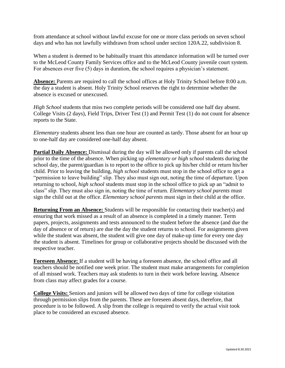from attendance at school without lawful excuse for one or more class periods on seven school days and who has not lawfully withdrawn from school under section 120A.22, subdivision 8.

When a student is deemed to be habitually truant this attendance information will be turned over to the McLeod County Family Services office and to the McLeod County juvenile court system. For absences over five (5) days in duration, the school requires a physician's statement.

**Absence:** Parents are required to call the school offices at Holy Trinity School before 8:00 a.m. the day a student is absent. Holy Trinity School reserves the right to determine whether the absence is excused or unexcused.

*High School* students that miss two complete periods will be considered one half day absent. College Visits (2 days), Field Trips, Driver Test (1) and Permit Test (1) do not count for absence reports to the State.

*Elementary* students absent less than one hour are counted as tardy. Those absent for an hour up to one-half day are considered one-half day absent.

**Partial Daily Absence:** Dismissal during the day will be allowed only if parents call the school prior to the time of the absence. When picking up *elementary or high school* students during the school day, the parent/guardian is to report to the office to pick up his/her child or return his/her child. Prior to leaving the building, *high school* students must stop in the school office to get a "permission to leave building" slip. They also must sign out, noting the time of departure. Upon returning to school, *high school* students must stop in the school office to pick up an "admit to class" slip. They must also sign in, noting the time of return. *Elementary school parents* must sign the child out at the office. *Elementary school parents* must sign in their child at the office.

**Returning From an Absence:** Students will be responsible for contacting their teacher(s) and ensuring that work missed as a result of an absence is completed in a timely manner. Term papers, projects, assignments and tests announced to the student before the absence (and due the day of absence or of return) are due the day the student returns to school. For assignments given while the student was absent, the student will give one day of make-up time for every one day the student is absent. Timelines for group or collaborative projects should be discussed with the respective teacher.

**Foreseen Absence:** If a student will be having a foreseen absence, the school office and all teachers should be notified one week prior. The student must make arrangements for completion of all missed work. Teachers may ask students to turn in their work before leaving. Absence from class may affect grades for a course.

**College Visits:** Seniors and juniors will be allowed two days of time for college visitation through permission slips from the parents. These are foreseen absent days, therefore, that procedure is to be followed. A slip from the college is required to verify the actual visit took place to be considered an excused absence.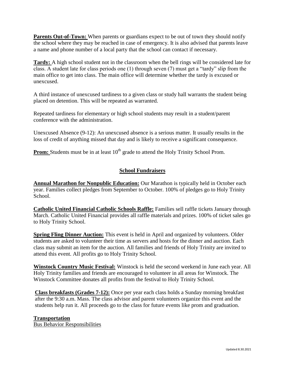Parents Out-of-Town: When parents or guardians expect to be out of town they should notify the school where they may be reached in case of emergency. It is also advised that parents leave a name and phone number of a local party that the school can contact if necessary.

**Tardy:** A high school student not in the classroom when the bell rings will be considered late for class. A student late for class periods one (1) through seven (7) must get a "tardy" slip from the main office to get into class. The main office will determine whether the tardy is excused or unexcused.

A third instance of unexcused tardiness to a given class or study hall warrants the student being placed on detention. This will be repeated as warranted.

Repeated tardiness for elementary or high school students may result in a student/parent conference with the administration.

Unexcused Absence (9-12): An unexcused absence is a serious matter. It usually results in the loss of credit of anything missed that day and is likely to receive a significant consequence.

**Prom:** Students must be in at least 10<sup>th</sup> grade to attend the Holy Trinity School Prom.

# **School Fundraisers**

**Annual Marathon for Nonpublic Education:** Our Marathon is typically held in October each year. Families collect pledges from September to October. 100% of pledges go to Holy Trinity School.

**Catholic United Financial Catholic Schools Raffle:** Families sell raffle tickets January through March. Catholic United Financial provides all raffle materials and prizes. 100% of ticket sales go to Holy Trinity School.

**Spring Fling Dinner Auction:** This event is held in April and organized by volunteers. Older students are asked to volunteer their time as servers and hosts for the dinner and auction. Each class may submit an item for the auction. All families and friends of Holy Trinity are invited to attend this event. All profits go to Holy Trinity School.

**Winstock Country Music Festival:** Winstock is held the second weekend in June each year. All Holy Trinity families and friends are encouraged to volunteer in all areas for Winstock. The Winstock Committee donates all profits from the festival to Holy Trinity School.

**Class breakfasts (Grades 7-12):** Once per year each class holds a Sunday morning breakfast after the 9:30 a.m. Mass. The class advisor and parent volunteers organize this event and the students help run it. All proceeds go to the class for future events like prom and graduation.

#### **Transportation**

Bus Behavior Responsibilities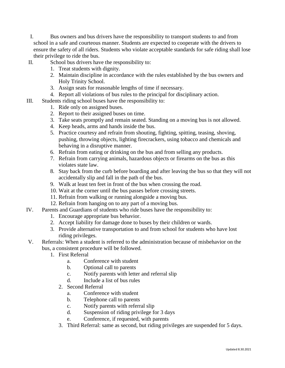- I. Bus owners and bus drivers have the responsibility to transport students to and from school in a safe and courteous manner. Students are expected to cooperate with the drivers to ensure the safety of all riders. Students who violate acceptable standards for safe riding shall lose their privilege to ride the bus.
- II. School bus drivers have the responsibility to:
	- 1. Treat students with dignity.
	- 2. Maintain discipline in accordance with the rules established by the bus owners and Holy Trinity School.
	- 3. Assign seats for reasonable lengths of time if necessary.
	- 4. Report all violations of bus rules to the principal for disciplinary action.
- III. Students riding school buses have the responsibility to:
	- 1. Ride only on assigned buses.
	- 2. Report to their assigned buses on time.
	- 3. Take seats promptly and remain seated. Standing on a moving bus is not allowed.
	- 4. Keep heads, arms and hands inside the bus.
	- 5. Practice courtesy and refrain from shouting, fighting, spitting, teasing, shoving, pushing, throwing objects, lighting firecrackers, using tobacco and chemicals and behaving in a disruptive manner.
	- 6. Refrain from eating or drinking on the bus and from selling any products.
	- 7. Refrain from carrying animals, hazardous objects or firearms on the bus as this violates state law.
	- 8. Stay back from the curb before boarding and after leaving the bus so that they will not accidentally slip and fall in the path of the bus.
	- 9. Walk at least ten feet in front of the bus when crossing the road.
	- 10. Wait at the corner until the bus passes before crossing streets.
	- 11. Refrain from walking or running alongside a moving bus.
	- 12. Refrain from hanging on to any part of a moving bus.
- IV. Parents and Guardians of students who ride buses have the responsibility to:
	- 1. Encourage appropriate bus behavior.
	- 2. Accept liability for damage done to buses by their children or wards.
	- 3. Provide alternative transportation to and from school for students who have lost riding privileges.
- V. Referrals: When a student is referred to the administration because of misbehavior on the bus, a consistent procedure will be followed.
	- 1. First Referral
		- a. Conference with student
		- b. Optional call to parents
		- c. Notify parents with letter and referral slip
		- d. Include a list of bus rules
		- 2. Second Referral
			- a. Conference with student
			- b. Telephone call to parents
			- c. Notify parents with referral slip
			- d. Suspension of riding privilege for 3 days
			- e. Conference, if requested, with parents
		- 3. Third Referral: same as second, but riding privileges are suspended for 5 days.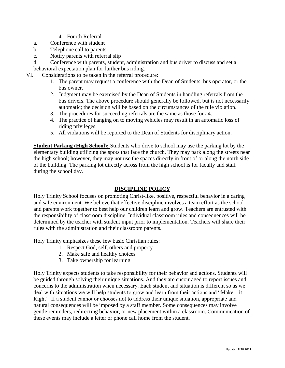- 4. Fourth Referral
- a. Conference with student
- b. Telephone call to parents
- c. Notify parents with referral slip
- d. Conference with parents, student, administration and bus driver to discuss and set a behavioral expectation plan for further bus riding.
- VI. Considerations to be taken in the referral procedure:
	- 1. The parent may request a conference with the Dean of Students, bus operator, or the bus owner.
	- 2. Judgment may be exercised by the Dean of Students in handling referrals from the bus drivers. The above procedure should generally be followed, but is not necessarily automatic; the decision will be based on the circumstances of the rule violation.
	- 3. The procedures for succeeding referrals are the same as those for #4.
	- 4. The practice of hanging on to moving vehicles may result in an automatic loss of riding privileges.
	- 5. All violations will be reported to the Dean of Students for disciplinary action.

**Student Parking (High School):** Students who drive to school may use the parking lot by the elementary building utilizing the spots that face the church. They may park along the streets near the high school; however, they may not use the spaces directly in front of or along the north side of the building. The parking lot directly across from the high school is for faculty and staff during the school day.

# **DISCIPLINE POLICY**

Holy Trinity School focuses on promoting Christ-like, positive, respectful behavior in a caring and safe environment. We believe that effective discipline involves a team effort as the school and parents work together to best help our children learn and grow. Teachers are entrusted with the responsibility of classroom discipline. Individual classroom rules and consequences will be determined by the teacher with student input prior to implementation. Teachers will share their rules with the administration and their classroom parents.

Holy Trinity emphasizes these few basic Christian rules:

- 1. Respect God, self, others and property
- 2. Make safe and healthy choices
- 3. Take ownership for learning

Holy Trinity expects students to take responsibility for their behavior and actions. Students will be guided through solving their unique situations. And they are encouraged to report issues and concerns to the administration when necessary. Each student and situation is different so as we deal with situations we will help students to grow and learn from their actions and "Make – it – Right". If a student cannot or chooses not to address their unique situation, appropriate and natural consequences will be imposed by a staff member. Some consequences may involve gentle reminders, redirecting behavior, or new placement within a classroom. Communication of these events may include a letter or phone call home from the student.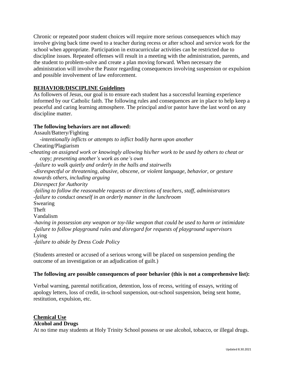Chronic or repeated poor student choices will require more serious consequences which may involve giving back time owed to a teacher during recess or after school and service work for the school when appropriate. Participation in extracurricular activities can be restricted due to discipline issues. Repeated offenses will result in a meeting with the administration, parents, and the student to problem-solve and create a plan moving forward. When necessary the administration will involve the Pastor regarding consequences involving suspension or expulsion and possible involvement of law enforcement.

# **BEHAVIOR/DISCIPLINE Guidelines**

As followers of Jesus, our goal is to ensure each student has a successful learning experience informed by our Catholic faith. The following rules and consequences are in place to help keep a peaceful and caring learning atmosphere. The principal and/or pastor have the last word on any discipline matter.

#### **The following behaviors are not allowed:**

Assault/Battery/Fighting *-intentionally inflicts or attempts to inflict bodily harm upon another* Cheating/Plagiarism *-cheating on assigned work or knowingly allowing his/her work to be used by others to cheat or copy; presenting another's work as one's own -failure to walk quietly and orderly in the halls and stairwells -disrespectful or threatening, abusive, obscene, or violent language, behavior, or gesture towards others, including arguing Disrespect for Authority -failing to follow the reasonable requests or directions of teachers, staff, administrators -failure to conduct oneself in an orderly manner in the lunchroom* Swearing Theft Vandalism *-having in possession any weapon or toy-like weapon that could be used to harm or intimidate -failure to follow playground rules and disregard for requests of playground supervisors* Lying *-failure to abide by Dress Code Policy*

(Students arrested or accused of a serious wrong will be placed on suspension pending the outcome of an investigation or an adjudication of guilt.)

#### **The following are possible consequences of poor behavior (this is not a comprehensive list):**

Verbal warning, parental notification, detention, loss of recess, writing of essays, writing of apology letters, loss of credit, in-school suspension, out-school suspension, being sent home, restitution, expulsion, etc.

# **Chemical Use**

**Alcohol and Drugs**

At no time may students at Holy Trinity School possess or use alcohol, tobacco, or illegal drugs.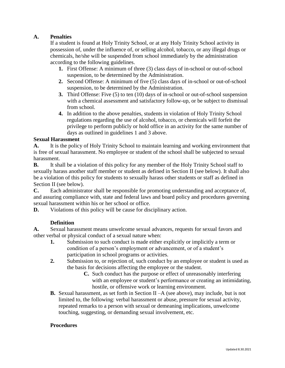# **A. Penalties**

If a student is found at Holy Trinity School, or at any Holy Trinity School activity in possession of, under the influence of, or selling alcohol, tobacco, or any illegal drugs or chemicals, he/she will be suspended from school immediately by the administration according to the following guidelines.

- **1.** First Offense: A minimum of three (3) class days of in-school or out-of-school suspension, to be determined by the Administration.
- **2.** Second Offense: A minimum of five (5) class days of in-school or out-of-school suspension, to be determined by the Administration.
- **3.** Third Offense: Five (5) to ten (10) days of in-school or out-of-school suspension with a chemical assessment and satisfactory follow-up, or be subject to dismissal from school.
- **4.** In addition to the above penalties, students in violation of Holy Trinity School regulations regarding the use of alcohol, tobacco, or chemicals will forfeit the privilege to perform publicly or hold office in an activity for the same number of days as outlined in guidelines 1 and 3 above.

# **Sexual Harassment**

**A.** It is the policy of Holy Trinity School to maintain learning and working environment that is free of sexual harassment. No employee or student of the school shall be subjected to sexual harassment.

**B.** It shall be a violation of this policy for any member of the Holy Trinity School staff to sexually harass another staff member or student as defined in Section II (see below). It shall also be a violation of this policy for students to sexually harass other students or staff as defined in Section II (see below).

**C.** Each administrator shall be responsible for promoting understanding and acceptance of, and assuring compliance with, state and federal laws and board policy and procedures governing sexual harassment within his or her school or office.

**D.** Violations of this policy will be cause for disciplinary action.

# **Definition**

**A.** Sexual harassment means unwelcome sexual advances, requests for sexual favors and other verbal or physical conduct of a sexual nature when:

- **1.** Submission to such conduct is made either explicitly or implicitly a term or condition of a person's employment or advancement, or of a student's participation in school programs or activities.
- **2.** Submission to, or rejection of, such conduct by an employee or student is used as the basis for decisions affecting the employee or the student.
	- **C.** Such conduct has the purpose or effect of unreasonably interfering with an employee or student's performance or creating an intimidating, hostile, or offensive work or learning environment.
- **B.** Sexual harassment, as set forth in Section II –A (see above), may include, but is not limited to, the following: verbal harassment or abuse, pressure for sexual activity, repeated remarks to a person with sexual or demeaning implications, unwelcome touching, suggesting, or demanding sexual involvement, etc.

#### **Procedures**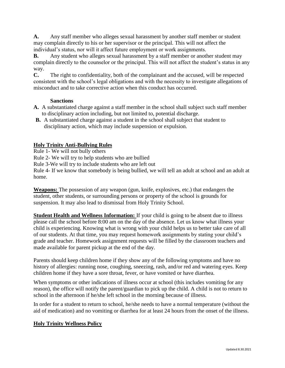**A.** Any staff member who alleges sexual harassment by another staff member or student may complain directly to his or her supervisor or the principal. This will not affect the individual's status, nor will it affect future employment or work assignments.

**B.** Any student who alleges sexual harassment by a staff member or another student may complain directly to the counselor or the principal. This will not affect the student's status in any way.

**C.** The right to confidentiality, both of the complainant and the accused, will be respected consistent with the school's legal obligations and with the necessity to investigate allegations of misconduct and to take corrective action when this conduct has occurred.

#### **Sanctions**

- **A.** A substantiated charge against a staff member in the school shall subject such staff member to disciplinary action including, but not limited to, potential discharge.
- **B.** A substantiated charge against a student in the school shall subject that student to disciplinary action, which may include suspension or expulsion.

# **Holy Trinity Anti-Bullying Rules**

Rule 1- We will not bully others

Rule 2- We will try to help students who are bullied

Rule 3-We will try to include students who are left out

Rule 4- If we know that somebody is being bullied, we will tell an adult at school and an adult at home.

**Weapons:** The possession of any weapon (gun, knife, explosives, etc.) that endangers the student, other students, or surrounding persons or property of the school is grounds for suspension. It may also lead to dismissal from Holy Trinity School.

**Student Health and Wellness Information:** If your child is going to be absent due to illness please call the school before 8:00 am on the day of the absence. Let us know what illness your child is experiencing. Knowing what is wrong with your child helps us to better take care of all of our students. At that time, you may request homework assignments by stating your child's grade and teacher. Homework assignment requests will be filled by the classroom teachers and made available for parent pickup at the end of the day.

Parents should keep children home if they show any of the following symptoms and have no history of allergies: running nose, coughing, sneezing, rash, and/or red and watering eyes. Keep children home if they have a sore throat, fever, or have vomited or have diarrhea.

When symptoms or other indications of illness occur at school (this includes vomiting for any reason), the office will notify the parent/guardian to pick up the child. A child is not to return to school in the afternoon if he/she left school in the morning because of illness.

In order for a student to return to school, he/she needs to have a normal temperature (without the aid of medication) and no vomiting or diarrhea for at least 24 hours from the onset of the illness.

# **Holy Trinity Wellness Policy**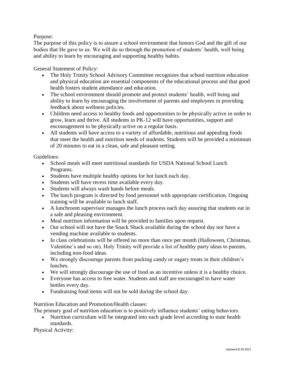# Purpose:

The purpose of this policy is to assure a school environment that honors God and the gift of our bodies that He gave to us. We will do so through the promotion of students' health, well being and ability to learn by encouraging and supporting healthy habits.

General Statement of Policy:

- The Holy Trinity School Advisory Committee recognizes that school nutrition education and physical education are essential components of the educational process and that good health fosters student attendance and education.
- The school environment should promote and protect students' health, well being and ability to learn by encouraging the involvement of parents and employees in providing feedback about wellness policies.
- Children need access to healthy foods and opportunities to be physically active in order to grow, learn and thrive. All students in PK-12 will have opportunities, support and encouragement to be physically active on a regular basis.
- All students will have access to a variety of affordable, nutritious and appealing foods that meet the health and nutrition needs of students. Students will be provided a minimum of 20 minutes to eat in a clean, safe and pleasant setting.

Guidelines:

- School meals will meet nutritional standards for USDA National School Lunch Programs.
- Students have multiple healthy options for hot lunch each day.
- Students will have recess time available every day.
- Students will always wash hands before meals.
- The lunch program is directed by food personnel with appropriate certification. Ongoing training will be available to lunch staff.
- A lunchroom supervisor manages the lunch process each day assuring that students eat in a safe and pleasing environment.
- Meal nutrition information will be provided to families upon request.
- Our school will not have the Snack Shack available during the school day nor have a vending machine available to students.
- In class celebrations will be offered no more than once per month (Halloween, Christmas, Valentine's and so on). Holy Trinity will provide a list of healthy party ideas to parents, including non-food ideas.
- We strongly discourage parents from packing candy or sugary treats in their children's lunches.
- We will strongly discourage the use of food as an incentive unless it is a healthy choice.
- Everyone has access to free water. Students and staff are encouraged to have water bottles every day.
- Fundraising food items will not be sold during the school day.

Nutrition Education and Promotion/Health classes:

The primary goal of nutrition education is to positively influence students' eating behaviors.

 Nutrition curriculum will be integrated into each grade level according to state health standards.

Physical Activity: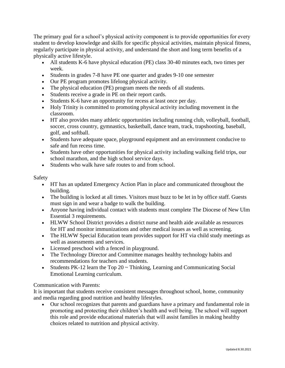The primary goal for a school's physical activity component is to provide opportunities for every student to develop knowledge and skills for specific physical activities, maintain physical fitness, regularly participate in physical activity, and understand the short and long term benefits of a physically active lifestyle.

- All students K-6 have physical education (PE) class 30-40 minutes each, two times per week.
- Students in grades 7-8 have PE one quarter and grades 9-10 one semester
- Our PE program promotes lifelong physical activity.
- The physical education (PE) program meets the needs of all students.
- Students receive a grade in PE on their report cards.
- Students K-6 have an opportunity for recess at least once per day.
- Holy Trinity is committed to promoting physical activity including movement in the classroom.
- HT also provides many athletic opportunities including running club, volleyball, football, soccer, cross country, gymnastics, basketball, dance team, track, trapshooting, baseball, golf, and softball.
- Students have adequate space, playground equipment and an environment conducive to safe and fun recess time.
- Students have other opportunities for physical activity including walking field trips, our school marathon, and the high school service days.
- Students who walk have safe routes to and from school.

# Safety

- HT has an updated Emergency Action Plan in place and communicated throughout the building.
- The building is locked at all times. Visitors must buzz to be let in by office staff. Guests must sign in and wear a badge to walk the building.
- Anyone having individual contact with students must complete The Diocese of New Ulm Essential 3 requirements.
- HLWW School District provides a district nurse and health aide available as resources for HT and monitor immunizations and other medical issues as well as screening.
- The HLWW Special Education team provides support for HT via child study meetings as well as assessments and services.
- Licensed preschool with a fenced in playground.
- The Technology Director and Committee manages healthy technology habits and recommendations for teachers and students.
- Students PK-12 learn the Top  $20 \sim$  Thinking, Learning and Communicating Social Emotional Learning curriculum.

# Communication with Parents:

It is important that students receive consistent messages throughout school, home, community and media regarding good nutrition and healthy lifestyles.

 Our school recognizes that parents and guardians have a primary and fundamental role in promoting and protecting their children's health and well being. The school will support this role and provide educational materials that will assist families in making healthy choices related to nutrition and physical activity.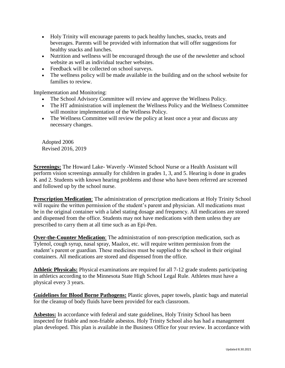- Holy Trinity will encourage parents to pack healthy lunches, snacks, treats and beverages. Parents will be provided with information that will offer suggestions for healthy snacks and lunches.
- Nutrition and wellness will be encouraged through the use of the newsletter and school website as well as individual teacher websites.
- Feedback will be collected on school surveys.
- The wellness policy will be made available in the building and on the school website for families to review.

Implementation and Monitoring:

- The School Advisory Committee will review and approve the Wellness Policy.
- The HT administration will implement the Wellness Policy and the Wellness Committee will monitor implementation of the Wellness Policy.
- The Wellness Committee will review the policy at least once a year and discuss any necessary changes.

Adopted 2006 Revised 2016, 2019

**Screenings:** The Howard Lake- Waverly -Winsted School Nurse or a Health Assistant will perform vision screenings annually for children in grades 1, 3, and 5. Hearing is done in grades K and 2. Students with known hearing problems and those who have been referred are screened and followed up by the school nurse.

**Prescription Medication**: The administration of prescription medications at Holy Trinity School will require the written permission of the student's parent and physician. All medications must be in the original container with a label stating dosage and frequency. All medications are stored and dispensed from the office. Students may not have medications with them unless they are prescribed to carry them at all time such as an Epi-Pen.

**Over-the-Counter Medication**: The administration of non-prescription medication, such as Tylenol, cough syrup, nasal spray, Maalox, etc. will require written permission from the student's parent or guardian. These medicines must be supplied to the school in their original containers. All medications are stored and dispensed from the office.

**Athletic Physicals:** Physical examinations are required for all 7-12 grade students participating in athletics according to the Minnesota State High School Legal Rule. Athletes must have a physical every 3 years.

**Guidelines for Blood Borne Pathogens:** Plastic gloves, paper towels, plastic bags and material for the cleanup of body fluids have been provided for each classroom.

**Asbestos:** In accordance with federal and state guidelines, Holy Trinity School has been inspected for friable and non-friable asbestos. Holy Trinity School also has had a management plan developed. This plan is available in the Business Office for your review. In accordance with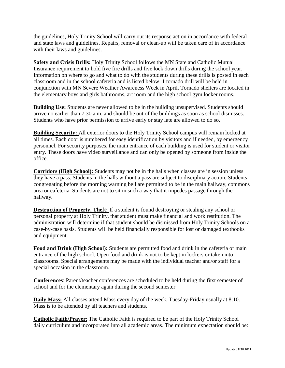the guidelines, Holy Trinity School will carry out its response action in accordance with federal and state laws and guidelines. Repairs, removal or clean-up will be taken care of in accordance with their laws and guidelines.

**Safety and Crisis Drills:** Holy Trinity School follows the MN State and Catholic Mutual Insurance requirement to hold five fire drills and five lock down drills during the school year. Information on where to go and what to do with the students during these drills is posted in each classroom and in the school cafeteria and is listed below. 1 tornado drill will be held in conjunction with MN Severe Weather Awareness Week in April. Tornado shelters are located in the elementary boys and girls bathrooms, art room and the high school gym locker rooms.

**Building Use:** Students are never allowed to be in the building unsupervised. Students should arrive no earlier than 7:30 a.m. and should be out of the buildings as soon as school dismisses. Students who have prior permission to arrive early or stay late are allowed to do so.

**Building Security:** All exterior doors to the Holy Trinity School campus will remain locked at all times. Each door is numbered for easy identification by visitors and if needed, by emergency personnel. For security purposes, the main entrance of each building is used for student or visitor entry. These doors have video surveillance and can only be opened by someone from inside the office.

**Corridors (High School):** Students may not be in the halls when classes are in session unless they have a pass. Students in the halls without a pass are subject to disciplinary action. Students congregating before the morning warning bell are permitted to be in the main hallway, commons area or cafeteria. Students are not to sit in such a way that it impedes passage through the hallway.

**Destruction of Property, Theft:** If a student is found destroying or stealing any school or personal property at Holy Trinity, that student must make financial and work restitution. The administration will determine if that student should be dismissed from Holy Trinity Schools on a case-by-case basis. Students will be held financially responsible for lost or damaged textbooks and equipment.

**Food and Drink (High School):** Students are permitted food and drink in the cafeteria or main entrance of the high school. Open food and drink is not to be kept in lockers or taken into classrooms. Special arrangements may be made with the individual teacher and/or staff for a special occasion in the classroom.

**Conferences**: Parent/teacher conferences are scheduled to be held during the first semester of school and for the elementary again during the second semester

**Daily Mass:** All classes attend Mass every day of the week, Tuesday-Friday usually at 8:10. Mass is to be attended by all teachers and students.

**Catholic Faith/Prayer:** The Catholic Faith is required to be part of the Holy Trinity School daily curriculum and incorporated into all academic areas. The minimum expectation should be: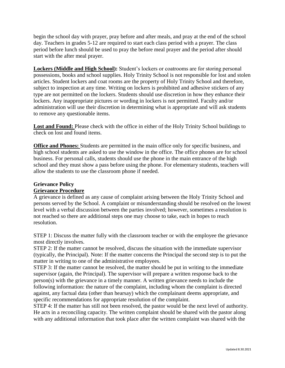begin the school day with prayer, pray before and after meals, and pray at the end of the school day. Teachers in grades 5-12 are required to start each class period with a prayer. The class period before lunch should be used to pray the before meal prayer and the period after should start with the after meal prayer.

**Lockers (Middle and High School):** Student's lockers or coatrooms are for storing personal possessions, books and school supplies. Holy Trinity School is not responsible for lost and stolen articles. Student lockers and coat rooms are the property of Holy Trinity School and therefore, subject to inspection at any time. Writing on lockers is prohibited and adhesive stickers of any type are not permitted on the lockers. Students should use discretion in how they enhance their lockers. Any inappropriate pictures or wording in lockers is not permitted. Faculty and/or administration will use their discretion in determining what is appropriate and will ask students to remove any questionable items.

**Lost and Found:** Please check with the office in either of the Holy Trinity School buildings to check on lost and found items.

**Office and Phones:** Students are permitted in the main office only for specific business, and high school students are asked to use the window in the office. The office phones are for school business. For personal calls, students should use the phone in the main entrance of the high school and they must show a pass before using the phone. For elementary students, teachers will allow the students to use the classroom phone if needed.

# **Grievance Policy Grievance Procedure**

A grievance is defined as any cause of complaint arising between the Holy Trinity School and persons served by the School. A complaint or misunderstanding should be resolved on the lowest level with a verbal discussion between the parties involved; however, sometimes a resolution is not reached so there are additional steps one may choose to take, each in hopes to reach resolution.

STEP 1: Discuss the matter fully with the classroom teacher or with the employee the grievance most directly involves.

STEP 2: If the matter cannot be resolved, discuss the situation with the immediate supervisor (typically, the Principal). Note: If the matter concerns the Principal the second step is to put the matter in writing to one of the administrative employees.

STEP 3: If the matter cannot be resolved, the matter should be put in writing to the immediate supervisor (again, the Principal). The supervisor will prepare a written response back to the person(s) with the grievance in a timely manner. A written grievance needs to include the following information: the nature of the complaint, including whom the complaint is directed against, any factual data (other than hearsay) which the complainant deems appropriate, and specific recommendations for appropriate resolution of the complaint.

STEP 4: If the matter has still not been resolved, the pastor would be the next level of authority. He acts in a reconciling capacity. The written complaint should be shared with the pastor along with any additional information that took place after the written complaint was shared with the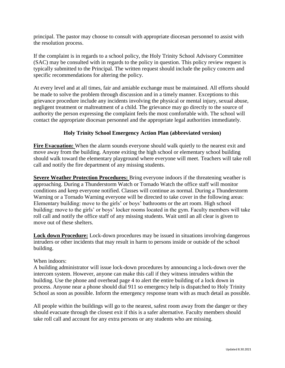principal. The pastor may choose to consult with appropriate diocesan personnel to assist with the resolution process.

If the complaint is in regards to a school policy, the Holy Trinity School Advisory Committee (SAC) may be consulted with in regards to the policy in question. This policy review request is typically submitted to the Principal. The written request should include the policy concern and specific recommendations for altering the policy.

At every level and at all times, fair and amiable exchange must be maintained. All efforts should be made to solve the problem through discussion and in a timely manner. Exceptions to this grievance procedure include any incidents involving the physical or mental injury, sexual abuse, negligent treatment or maltreatment of a child. The grievance may go directly to the source of authority the person expressing the complaint feels the most comfortable with. The school will contact the appropriate diocesan personnel and the appropriate legal authorities immediately.

# **Holy Trinity School Emergency Action Plan (abbreviated version)**

Fire Evacuation: When the alarm sounds everyone should walk quietly to the nearest exit and move away from the building. Anyone exiting the high school or elementary school building should walk toward the elementary playground where everyone will meet. Teachers will take roll call and notify the fire department of any missing students.

**Severe Weather Protection Procedures:** Bring everyone indoors if the threatening weather is approaching. During a Thunderstorm Watch or Tornado Watch the office staff will monitor conditions and keep everyone notified. Classes will continue as normal. During a Thunderstorm Warning or a Tornado Warning everyone will be directed to take cover in the following areas: Elementary building: move to the girls' or boys' bathrooms or the art room. High school building: move to the girls' or boys' locker rooms located in the gym. Faculty members will take roll call and notify the office staff of any missing students. Wait until an all clear is given to move out of these shelters.

**Lock down Procedure:** Lock-down procedures may be issued in situations involving dangerous intruders or other incidents that may result in harm to persons inside or outside of the school building.

#### When indoors:

A building administrator will issue lock-down procedures by announcing a lock-down over the intercom system. However, anyone can make this call if they witness intruders within the building. Use the phone and overhead page 4 to alert the entire building of a lock down in process. Anyone near a phone should dial 911 so emergency help is dispatched to Holy Trinity School as soon as possible. Inform the emergency response team with as much detail as possible.

All people within the buildings will go to the nearest, safest room away from the danger or they should evacuate through the closest exit if this is a safer alternative. Faculty members should take roll call and account for any extra persons or any students who are missing.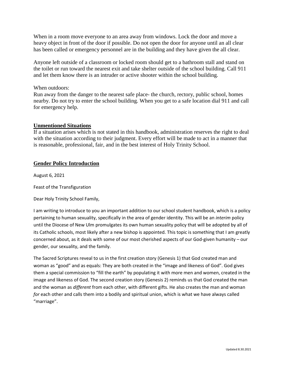When in a room move everyone to an area away from windows. Lock the door and move a heavy object in front of the door if possible. Do not open the door for anyone until an all clear has been called or emergency personnel are in the building and they have given the all clear.

Anyone left outside of a classroom or locked room should get to a bathroom stall and stand on the toilet or run toward the nearest exit and take shelter outside of the school building. Call 911 and let them know there is an intruder or active shooter within the school building.

When outdoors:

Run away from the danger to the nearest safe place- the church, rectory, public school, homes nearby. Do not try to enter the school building. When you get to a safe location dial 911 and call for emergency help.

#### **Unmentioned Situations**

If a situation arises which is not stated in this handbook, administration reserves the right to deal with the situation according to their judgment. Every effort will be made to act in a manner that is reasonable, professional, fair, and in the best interest of Holy Trinity School.

#### **Gender Policy Introduction**

August 6, 2021

Feast of the Transfiguration

Dear Holy Trinity School Family,

I am writing to introduce to you an important addition to our school student handbook, which is a policy pertaining to human sexuality, specifically in the area of gender identity. This will be an *interim* policy until the Diocese of New Ulm promulgates its own human sexuality policy that will be adopted by all of its Catholic schools, most likely after a new bishop is appointed. This topic is something that I am greatly concerned about, as it deals with some of our most cherished aspects of our God-given humanity – our gender, our sexuality, and the family.

The Sacred Scriptures reveal to us in the first creation story (Genesis 1) that God created man and woman as "good" and as equals: They are both created in the "image and likeness of God". God gives them a special commission to "fill the earth" by populating it with more men and women, created in the image and likeness of God. The second creation story (Genesis 2) reminds us that God created the man and the woman as *different* from each other, with different gifts. He also creates the man and woman *for* each other and calls them into a bodily and spiritual union, which is what we have always called "marriage".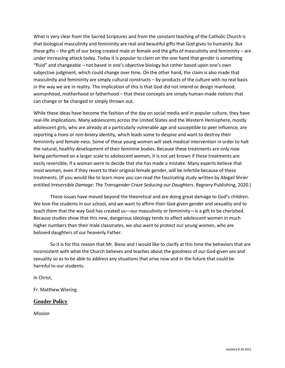What is very clear from the Sacred Scriptures and from the constant teaching of the Catholic Church is that biological masculinity and femininity are real and beautiful gifts that God gives to humanity. But these gifts – the gift of our being created male or female and the gifts of masculinity and femininity – are under increasing attack today. Today it is popular to claim on the one hand that gender is something "fluid" and changeable – not based in one's objective biology but rather based upon one's own subjective judgment, which could change over time. On the other hand, the claim is also made that masculinity and femininity are simply cultural constructs – by-products of the culture with no real basis in the way we are in reality. The implication of this is that God did not intend or design manhood, womanhood, motherhood or fatherhood – that these concepts are simply human-made notions that can change or be changed or simply thrown out.

While these ideas have become the fashion of the day on social media and in popular culture, they have real-life implications. Many adolescents across the United States and the Western Hemisphere, mostly adolescent girls, who are already at a particularly vulnerable age and susceptible to peer influence, are reporting a *trans* or *non-binary* identity, which leads some to despise and want to destroy their femininity and female-ness. Some of these young women will seek medical intervention in order to halt the natural, healthy development of their feminine bodies. Because these treatments are only now being performed on a larger scale to adolescent women, it is not yet known if these treatments are easily reversible, if a woman were to decide that she has made a mistake. Many experts believe that most women, even if they revert to their original female gender, will be infertile because of these treatments. (If you would like to learn more you can read the fascinating study written by Abigail Shrier entitled *Irreversible Damage: The Transgender Craze Seducing our Daughters*. Regnery Publishing, 2020.)

These issues have moved beyond the theoretical and are doing great damage to God's children. We love the students in our school, and we want to affirm their God-given gender and sexuality and to teach them that the way God has created us—our masculinity or femininity—is a gift to be cherished. Because studies show that this new, dangerous ideology tends to affect adolescent women in much higher numbers than their male classmates, we also want to protect our young women, who are beloved daughters of our heavenly Father.

So it is for this reason that Mr. Biese and I would like to clarify at this time the behaviors that are inconsistent with what the Church believes and teaches about the goodness of our God-given sex and sexuality so as to be able to address any situations that arise now and in the future that could be harmful to our students.

In Christ,

Fr. Matthew Wiering

#### **Gender Policy**

*Mission*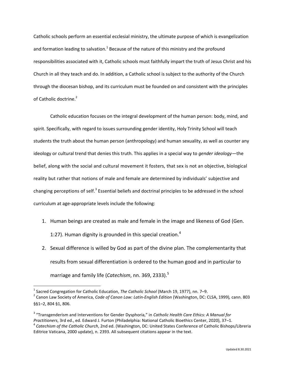Catholic schools perform an essential ecclesial ministry, the ultimate purpose of which is evangelization and formation leading to salvation.<sup>1</sup> Because of the nature of this ministry and the profound responsibilities associated with it, Catholic schools must faithfully impart the truth of Jesus Christ and his Church in all they teach and do. In addition, a Catholic school is subject to the authority of the Church through the diocesan bishop, and its curriculum must be founded on and consistent with the principles of Catholic doctrine.<sup>2</sup>

Catholic education focuses on the integral development of the human person: body, mind, and spirit. Specifically, with regard to issues surrounding gender identity, Holy Trinity School will teach students the truth about the human person (anthropology) and human sexuality, as well as counter any ideology or cultural trend that denies this truth. This applies in a special way to *gender ideology*—the belief, along with the social and cultural movement it fosters, that sex is not an objective, biological reality but rather that notions of male and female are determined by individuals' subjective and changing perceptions of self.<sup>3</sup> Essential beliefs and doctrinal principles to be addressed in the school curriculum at age-appropriate levels include the following:

- 1. Human beings are created as male and female in the image and likeness of God (Gen. 1:27). Human dignity is grounded in this special creation.<sup>4</sup>
- 2. Sexual difference is willed by God as part of the divine plan. The complementarity that results from sexual differentiation is ordered to the human good and in particular to marriage and family life (*Catechism*, nn. 369, 2333). 5

 $\overline{\phantom{a}}$ 

<sup>&</sup>lt;sup>1</sup> Sacred Congregation for Catholic Education, *The Catholic School* (March 19, 1977), nn. 7–9.

<sup>2</sup> Canon Law Society of America, *Code of Canon Law: Latin-English Edition* (Washington, DC: CLSA, 1999)*,* cann. 803 §§1–2, 804 §1, 806.

<sup>3</sup> "Transgenderism and Interventions for Gender Dysphoria," in *Catholic Health Care Ethics: A Manual for* 

*Practitioners*, 3rd ed., ed. Edward J. Furton (Philadelphia: National Catholic Bioethics Center, 2020), 37–1. 4 *Catechism of the Catholic Church*, 2nd ed. (Washington, DC: United States Conference of Catholic Bishops/Libreria Editrice Vaticana, 2000 update), n. 2393. All subsequent citations appear in the text.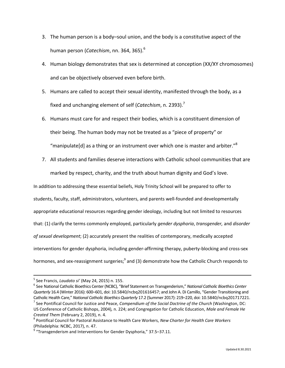- 3. The human person is a body–soul union, and the body is a constitutive aspect of the human person (*Catechism*, nn. 364, 365). 6
- 4. Human biology demonstrates that sex is determined at conception (XX/XY chromosomes) and can be objectively observed even before birth.
- 5. Humans are called to accept their sexual identity, manifested through the body, as a fixed and unchanging element of self (*Catechism*, n. 2393). 7
- 6. Humans must care for and respect their bodies, which is a constituent dimension of their being. The human body may not be treated as a "piece of property" or "manipulate[d] as a thing or an instrument over which one is master and arbiter." $8$
- 7. All students and families deserve interactions with Catholic school communities that are marked by respect, charity, and the truth about human dignity and God's love.

In addition to addressing these essential beliefs, Holy Trinity School will be prepared to offer to students, faculty, staff, administrators, volunteers, and parents well-founded and developmentally appropriate educational resources regarding gender ideology, including but not limited to resources that: (1) clarify the terms commonly employed, particularly *gender dysphoria*, *transgender,* and *disorder of sexual development*; (2) accurately present the realities of contemporary, medically accepted interventions for gender dysphoria, including gender-affirming therapy, puberty-blocking and cross-sex hormones, and sex-reassignment surgeries;<sup>9</sup> and (3) demonstrate how the Catholic Church responds to

 $\overline{\phantom{a}}$ 

<sup>5</sup> See Francis, *Laudato si'* (May 24, 2015) n. 155.

<sup>6</sup> See National Catholic Bioethics Center(NCBC), "Brief Statement on Transgenderism," *National Catholic Bioethics Center Quarterly* 16.4 (Winter 2016): 600–601, doi: 10.5840/ncbq201616457; and John A. Di Camillo, "Gender Transitioning and Catholic Health Care," *National Catholic Bioethics Quarterly* 17.2 (Summer 2017): 219–220, doi: 10.5840/ncbq201717221. 7 See Pontifical Council for Justice and Peace, *Compendium of the Social Doctrine of the Church* (Washington, DC: US Conference of Catholic Bishops, 2004)*,* n. 224; and Congregation for Catholic Education, *Male and Female He Created Them* (February 2, 2019), n. 4.

<sup>8</sup> Pontifical Council for Pastoral Assistance to Health Care Workers, *New Charter for Health Care Workers* (Philadelphia: NCBC, 2017), n. 47.

 $9$  "Transgenderism and Interventions for Gender Dysphoria," 37.5–37.11.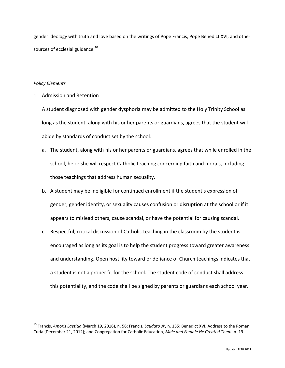gender ideology with truth and love based on the writings of Pope Francis, Pope Benedict XVI, and other sources of ecclesial guidance.<sup>10</sup>

#### *Policy Elements*

l

#### 1. Admission and Retention

A student diagnosed with gender dysphoria may be admitted to the Holy Trinity School as long as the student, along with his or her parents or guardians, agrees that the student will abide by standards of conduct set by the school:

- a. The student, along with his or her parents or guardians, agrees that while enrolled in the school, he or she will respect Catholic teaching concerning faith and morals, including those teachings that address human sexuality.
- b. A student may be ineligible for continued enrollment if the student's expression of gender, gender identity, or sexuality causes confusion or disruption at the school or if it appears to mislead others, cause scandal, or have the potential for causing scandal.
- c. Respectful, critical discussion of Catholic teaching in the classroom by the student is encouraged as long as its goal is to help the student progress toward greater awareness and understanding. Open hostility toward or defiance of Church teachings indicates that a student is not a proper fit for the school. The student code of conduct shall address this potentiality, and the code shall be signed by parents or guardians each school year.

<sup>10</sup> Francis, *Amoris Laetitia* (March 19, 2016), n. 56; Francis, *Laudato si',* n. 155; Benedict XVI, Address to the Roman Curia (December 21, 2012); and Congregation for Catholic Education, *Male and Female He Created Them*, n. 19.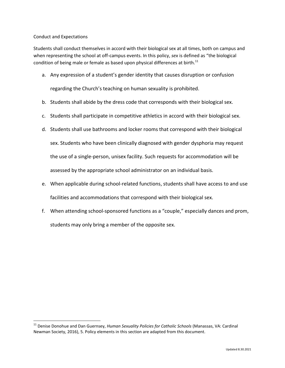#### Conduct and Expectations

l

Students shall conduct themselves in accord with their biological sex at all times, both on campus and when representing the school at off-campus events. In this policy, *sex* is defined as "the biological condition of being male or female as based upon physical differences at birth. $^{11}$ 

a. Any expression of a student's gender identity that causes disruption or confusion

regarding the Church's teaching on human sexuality is prohibited.

- b. Students shall abide by the dress code that corresponds with their biological sex.
- c. Students shall participate in competitive athletics in accord with their biological sex.
- d. Students shall use bathrooms and locker rooms that correspond with their biological sex. Students who have been clinically diagnosed with gender dysphoria may request the use of a single-person, unisex facility. Such requests for accommodation will be assessed by the appropriate school administrator on an individual basis.
- e. When applicable during school-related functions, students shall have access to and use facilities and accommodations that correspond with their biological sex.
- f. When attending school-sponsored functions as a "couple," especially dances and prom, students may only bring a member of the opposite sex.

<sup>11</sup> Denise Donohue and Dan Guernsey, *Human Sexuality Policies for Catholic Schools* (Manassas, VA: Cardinal Newman Society, 2016), 5. Policy elements in this section are adapted from this document.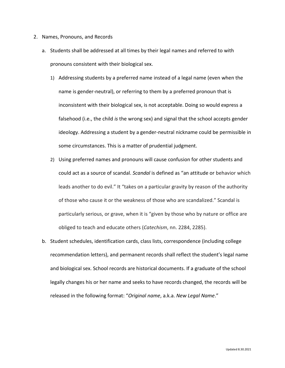- 2. Names, Pronouns, and Records
	- a. Students shall be addressed at all times by their legal names and referred to with pronouns consistent with their biological sex.
		- 1) Addressing students by a preferred name instead of a legal name (even when the name is gender-neutral), or referring to them by a preferred pronoun that is inconsistent with their biological sex, is not acceptable. Doing so would express a falsehood (i.e., the child *is* the wrong sex) and signal that the school accepts gender ideology. Addressing a student by a gender-neutral nickname could be permissible in some circumstances. This is a matter of prudential judgment.
		- 2) Using preferred names and pronouns will cause confusion for other students and could act as a source of scandal. *Scandal* is defined as "an attitude or behavior which leads another to do evil." It "takes on a particular gravity by reason of the authority of those who cause it or the weakness of those who are scandalized." Scandal is particularly serious, or grave, when it is "given by those who by nature or office are obliged to teach and educate others (*Catechism*, nn. 2284, 2285).
	- b. Student schedules, identification cards, class lists, correspondence (including college recommendation letters), and permanent records shall reflect the student's legal name and biological sex. School records are historical documents. If a graduate of the school legally changes his or her name and seeks to have records changed, the records will be released in the following format: "*Original name*, a.k.a. *New Legal Name*."